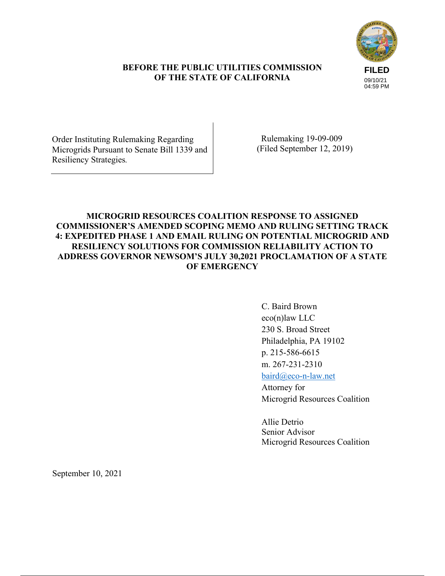# **FILED** 09/10/21 04:59 PM

# **BEFORE THE PUBLIC UTILITIES COMMISSION OF THE STATE OF CALIFORNIA**

Order Instituting Rulemaking Regarding Microgrids Pursuant to Senate Bill 1339 and Resiliency Strategies*.*

 Rulemaking 19-09-009 (Filed September 12, 2019)

# **MICROGRID RESOURCES COALITION RESPONSE TO ASSIGNED COMMISSIONER'S AMENDED SCOPING MEMO AND RULING SETTING TRACK 4: EXPEDITED PHASE 1 AND EMAIL RULING ON POTENTIAL MICROGRID AND RESILIENCY SOLUTIONS FOR COMMISSION RELIABILITY ACTION TO ADDRESS GOVERNOR NEWSOM'S JULY 30,2021 PROCLAMATION OF A STATE OF EMERGENCY**

C. Baird Brown eco(n)law LLC 230 S. Broad Street Philadelphia, PA 19102 p. 215-586-6615 m. 267-231-2310 baird@eco-n-law.net

Attorney for Microgrid Resources Coalition

Allie Detrio Senior Advisor Microgrid Resources Coalition

September 10, 2021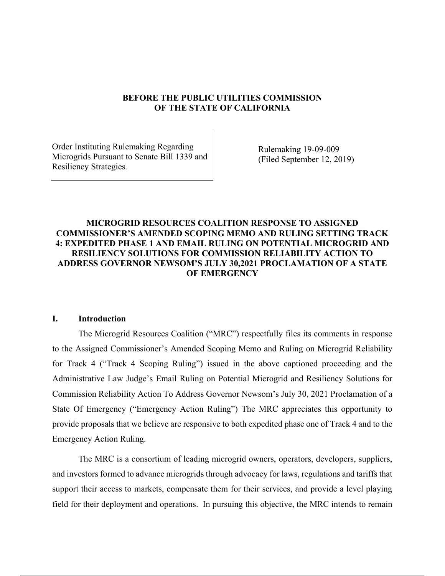## **BEFORE THE PUBLIC UTILITIES COMMISSION OF THE STATE OF CALIFORNIA**

Order Instituting Rulemaking Regarding Microgrids Pursuant to Senate Bill 1339 and Resiliency Strategies*.*

Rulemaking 19-09-009 (Filed September 12, 2019)

# **MICROGRID RESOURCES COALITION RESPONSE TO ASSIGNED COMMISSIONER'S AMENDED SCOPING MEMO AND RULING SETTING TRACK 4: EXPEDITED PHASE 1 AND EMAIL RULING ON POTENTIAL MICROGRID AND RESILIENCY SOLUTIONS FOR COMMISSION RELIABILITY ACTION TO ADDRESS GOVERNOR NEWSOM'S JULY 30,2021 PROCLAMATION OF A STATE OF EMERGENCY**

#### **I. Introduction**

The Microgrid Resources Coalition ("MRC") respectfully files its comments in response to the Assigned Commissioner's Amended Scoping Memo and Ruling on Microgrid Reliability for Track 4 ("Track 4 Scoping Ruling") issued in the above captioned proceeding and the Administrative Law Judge's Email Ruling on Potential Microgrid and Resiliency Solutions for Commission Reliability Action To Address Governor Newsom's July 30, 2021 Proclamation of a State Of Emergency ("Emergency Action Ruling") The MRC appreciates this opportunity to provide proposals that we believe are responsive to both expedited phase one of Track 4 and to the Emergency Action Ruling.

The MRC is a consortium of leading microgrid owners, operators, developers, suppliers, and investors formed to advance microgrids through advocacy for laws, regulations and tariffs that support their access to markets, compensate them for their services, and provide a level playing field for their deployment and operations. In pursuing this objective, the MRC intends to remain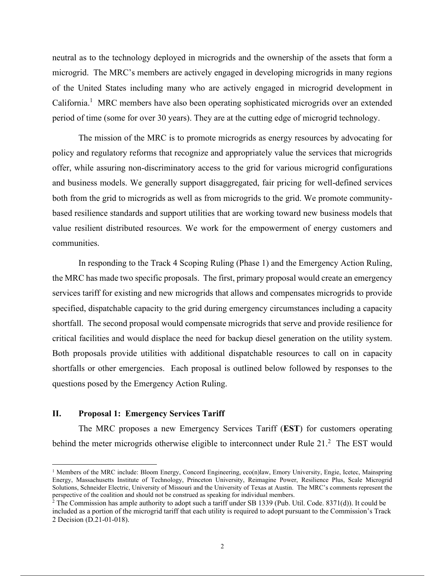neutral as to the technology deployed in microgrids and the ownership of the assets that form a microgrid. The MRC's members are actively engaged in developing microgrids in many regions of the United States including many who are actively engaged in microgrid development in California.<sup>1</sup> MRC members have also been operating sophisticated microgrids over an extended period of time (some for over 30 years). They are at the cutting edge of microgrid technology.

The mission of the MRC is to promote microgrids as energy resources by advocating for policy and regulatory reforms that recognize and appropriately value the services that microgrids offer, while assuring non-discriminatory access to the grid for various microgrid configurations and business models. We generally support disaggregated, fair pricing for well-defined services both from the grid to microgrids as well as from microgrids to the grid. We promote communitybased resilience standards and support utilities that are working toward new business models that value resilient distributed resources. We work for the empowerment of energy customers and communities.

In responding to the Track 4 Scoping Ruling (Phase 1) and the Emergency Action Ruling, the MRC has made two specific proposals. The first, primary proposal would create an emergency services tariff for existing and new microgrids that allows and compensates microgrids to provide specified, dispatchable capacity to the grid during emergency circumstances including a capacity shortfall. The second proposal would compensate microgrids that serve and provide resilience for critical facilities and would displace the need for backup diesel generation on the utility system. Both proposals provide utilities with additional dispatchable resources to call on in capacity shortfalls or other emergencies. Each proposal is outlined below followed by responses to the questions posed by the Emergency Action Ruling.

## **II. Proposal 1: Emergency Services Tariff**

The MRC proposes a new Emergency Services Tariff (**EST**) for customers operating behind the meter microgrids otherwise eligible to interconnect under Rule  $21<sup>2</sup>$  The EST would

<sup>&</sup>lt;sup>1</sup> Members of the MRC include: Bloom Energy, Concord Engineering, eco(n)law, Emory University, Engie, Icetec, Mainspring Energy, Massachusetts Institute of Technology, Princeton University, Reimagine Power, Resilience Plus, Scale Microgrid Solutions, Schneider Electric, University of Missouri and the University of Texas at Austin. The MRC's comments represent the perspective of the coalition and should not be construed as speaking for individual members.

 $2$  The Commission has ample authority to adopt such a tariff under SB 1339 (Pub. Util. Code. 8371(d)). It could be included as a portion of the microgrid tariff that each utility is required to adopt pursuant to the Commission's Track 2 Decision (D.21-01-018).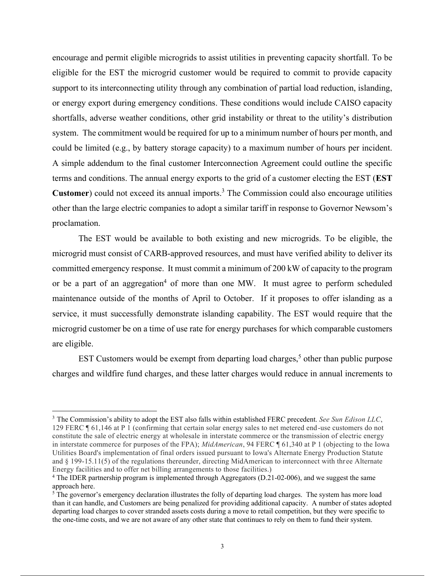encourage and permit eligible microgrids to assist utilities in preventing capacity shortfall. To be eligible for the EST the microgrid customer would be required to commit to provide capacity support to its interconnecting utility through any combination of partial load reduction, islanding, or energy export during emergency conditions. These conditions would include CAISO capacity shortfalls, adverse weather conditions, other grid instability or threat to the utility's distribution system. The commitment would be required for up to a minimum number of hours per month, and could be limited (e.g., by battery storage capacity) to a maximum number of hours per incident. A simple addendum to the final customer Interconnection Agreement could outline the specific terms and conditions. The annual energy exports to the grid of a customer electing the EST (**EST Customer**) could not exceed its annual imports.<sup>3</sup> The Commission could also encourage utilities other than the large electric companies to adopt a similar tariff in response to Governor Newsom's proclamation.

The EST would be available to both existing and new microgrids. To be eligible, the microgrid must consist of CARB-approved resources, and must have verified ability to deliver its committed emergency response. It must commit a minimum of 200 kW of capacity to the program or be a part of an aggregation<sup>4</sup> of more than one MW. It must agree to perform scheduled maintenance outside of the months of April to October. If it proposes to offer islanding as a service, it must successfully demonstrate islanding capability. The EST would require that the microgrid customer be on a time of use rate for energy purchases for which comparable customers are eligible.

EST Customers would be exempt from departing load charges,<sup>5</sup> other than public purpose charges and wildfire fund charges, and these latter charges would reduce in annual increments to

<sup>3</sup> The Commission's ability to adopt the EST also falls within established FERC precedent. *See Sun Edison LLC*, 129 FERC ¶ 61,146 at P 1 (confirming that certain solar energy sales to net metered end-use customers do not constitute the sale of electric energy at wholesale in interstate commerce or the transmission of electric energy in interstate commerce for purposes of the FPA); *MidAmerican*, 94 FERC ¶ 61,340 at P 1 (objecting to the Iowa Utilities Board's implementation of final orders issued pursuant to Iowa's Alternate Energy Production Statute and § 199-15.11(5) of the regulations thereunder, directing MidAmerican to interconnect with three Alternate Energy facilities and to offer net billing arrangements to those facilities.)

<sup>4</sup> The IDER partnership program is implemented through Aggregators (D.21-02-006), and we suggest the same approach here.

<sup>&</sup>lt;sup>5</sup> The governor's emergency declaration illustrates the folly of departing load charges. The system has more load than it can handle, and Customers are being penalized for providing additional capacity. A number of states adopted departing load charges to cover stranded assets costs during a move to retail competition, but they were specific to the one-time costs, and we are not aware of any other state that continues to rely on them to fund their system.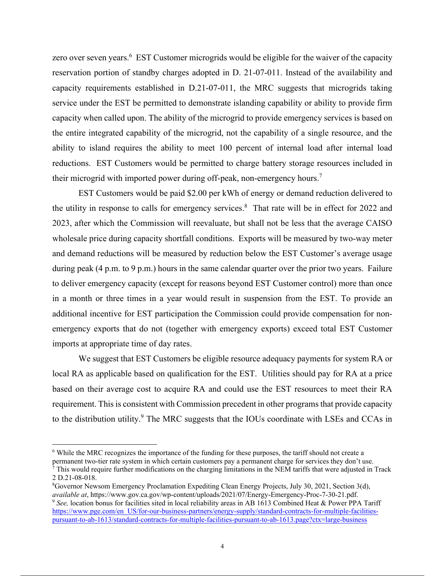zero over seven years.<sup>6</sup> EST Customer microgrids would be eligible for the waiver of the capacity reservation portion of standby charges adopted in D. 21-07-011. Instead of the availability and capacity requirements established in D.21-07-011, the MRC suggests that microgrids taking service under the EST be permitted to demonstrate islanding capability or ability to provide firm capacity when called upon. The ability of the microgrid to provide emergency services is based on the entire integrated capability of the microgrid, not the capability of a single resource, and the ability to island requires the ability to meet 100 percent of internal load after internal load reductions. EST Customers would be permitted to charge battery storage resources included in their microgrid with imported power during off-peak, non-emergency hours.<sup>7</sup>

EST Customers would be paid \$2.00 per kWh of energy or demand reduction delivered to the utility in response to calls for emergency services.<sup>8</sup> That rate will be in effect for 2022 and 2023, after which the Commission will reevaluate, but shall not be less that the average CAISO wholesale price during capacity shortfall conditions. Exports will be measured by two-way meter and demand reductions will be measured by reduction below the EST Customer's average usage during peak (4 p.m. to 9 p.m.) hours in the same calendar quarter over the prior two years. Failure to deliver emergency capacity (except for reasons beyond EST Customer control) more than once in a month or three times in a year would result in suspension from the EST. To provide an additional incentive for EST participation the Commission could provide compensation for nonemergency exports that do not (together with emergency exports) exceed total EST Customer imports at appropriate time of day rates.

We suggest that EST Customers be eligible resource adequacy payments for system RA or local RA as applicable based on qualification for the EST. Utilities should pay for RA at a price based on their average cost to acquire RA and could use the EST resources to meet their RA requirement. This is consistent with Commission precedent in other programs that provide capacity to the distribution utility.<sup>9</sup> The MRC suggests that the IOUs coordinate with LSEs and CCAs in

<sup>6</sup> While the MRC recognizes the importance of the funding for these purposes, the tariff should not create a permanent two-tier rate system in which certain customers pay a permanent charge for services they don't use.  $\bar{7}$  This would require further modifications on the charging limitations in the NEM tariffs that were adjusted in Track

<sup>2</sup> D.21-08-018.

<sup>8</sup>Governor Newsom Emergency Proclamation Expediting Clean Energy Projects, July 30, 2021, Section 3(d), *available at*, https://www.gov.ca.gov/wp-content/uploads/2021/07/Energy-Emergency-Proc-7-30-21.pdf.

<sup>9</sup> *See,* location bonus for facilities sited in local reliability areas in AB 1613 Combined Heat & Power PPA Tariff https://www.pge.com/en\_US/for-our-business-partners/energy-supply/standard-contracts-for-multiple-facilitiespursuant-to-ab-1613/standard-contracts-for-multiple-facilities-pursuant-to-ab-1613.page?ctx=large-business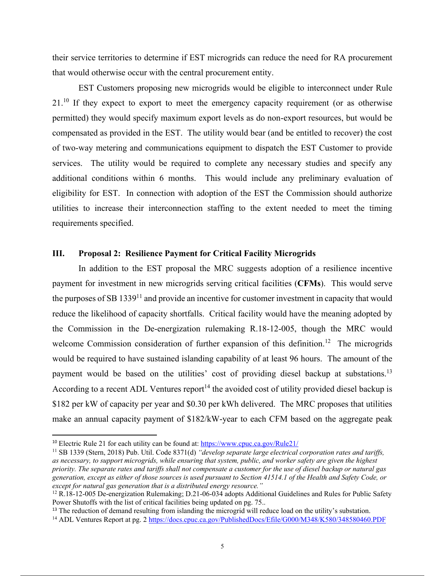their service territories to determine if EST microgrids can reduce the need for RA procurement that would otherwise occur with the central procurement entity.

EST Customers proposing new microgrids would be eligible to interconnect under Rule 21.<sup>10</sup> If they expect to export to meet the emergency capacity requirement (or as otherwise permitted) they would specify maximum export levels as do non-export resources, but would be compensated as provided in the EST. The utility would bear (and be entitled to recover) the cost of two-way metering and communications equipment to dispatch the EST Customer to provide services. The utility would be required to complete any necessary studies and specify any additional conditions within 6 months. This would include any preliminary evaluation of eligibility for EST. In connection with adoption of the EST the Commission should authorize utilities to increase their interconnection staffing to the extent needed to meet the timing requirements specified.

## **III. Proposal 2: Resilience Payment for Critical Facility Microgrids**

In addition to the EST proposal the MRC suggests adoption of a resilience incentive payment for investment in new microgrids serving critical facilities (**CFMs**). This would serve the purposes of SB 1339 $^{11}$  and provide an incentive for customer investment in capacity that would reduce the likelihood of capacity shortfalls. Critical facility would have the meaning adopted by the Commission in the De-energization rulemaking R.18-12-005, though the MRC would welcome Commission consideration of further expansion of this definition.<sup>12</sup> The microgrids would be required to have sustained islanding capability of at least 96 hours. The amount of the payment would be based on the utilities' cost of providing diesel backup at substations.<sup>13</sup> According to a recent ADL Ventures report<sup>14</sup> the avoided cost of utility provided diesel backup is \$182 per kW of capacity per year and \$0.30 per kWh delivered. The MRC proposes that utilities make an annual capacity payment of \$182/kW-year to each CFM based on the aggregate peak

<sup>&</sup>lt;sup>10</sup> Electric Rule 21 for each utility can be found at: https://www.cpuc.ca.gov/Rule21/

<sup>11</sup> SB 1339 (Stern, 2018) Pub. Util. Code 8371(d) *"develop separate large electrical corporation rates and tariffs, as necessary, to support microgrids, while ensuring that system, public, and worker safety are given the highest priority. The separate rates and tariffs shall not compensate a customer for the use of diesel backup or natural gas generation, except as either of those sources is used pursuant to Section 41514.1 of the Health and Safety Code, or except for natural gas generation that is a distributed energy resource."*

<sup>&</sup>lt;sup>12</sup> R.18-12-005 De-energization Rulemaking; D.21-06-034 adopts Additional Guidelines and Rules for Public Safety Power Shutoffs with the list of critical facilities being updated on pg. 75..

<sup>&</sup>lt;sup>13</sup> The reduction of demand resulting from islanding the microgrid will reduce load on the utility's substation.

<sup>&</sup>lt;sup>14</sup> ADL Ventures Report at pg. 2 https://docs.cpuc.ca.gov/PublishedDocs/Efile/G000/M348/K580/348580460.PDF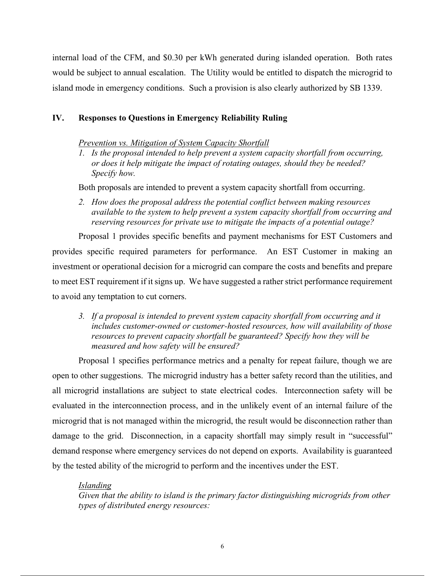internal load of the CFM, and \$0.30 per kWh generated during islanded operation. Both rates would be subject to annual escalation. The Utility would be entitled to dispatch the microgrid to island mode in emergency conditions. Such a provision is also clearly authorized by SB 1339.

## **IV. Responses to Questions in Emergency Reliability Ruling**

#### *Prevention vs. Mitigation of System Capacity Shortfall*

*1. Is the proposal intended to help prevent a system capacity shortfall from occurring, or does it help mitigate the impact of rotating outages, should they be needed? Specify how.*

Both proposals are intended to prevent a system capacity shortfall from occurring.

*2. How does the proposal address the potential conflict between making resources available to the system to help prevent a system capacity shortfall from occurring and reserving resources for private use to mitigate the impacts of a potential outage?*

Proposal 1 provides specific benefits and payment mechanisms for EST Customers and provides specific required parameters for performance. An EST Customer in making an investment or operational decision for a microgrid can compare the costs and benefits and prepare to meet EST requirement if it signs up. We have suggested a rather strict performance requirement to avoid any temptation to cut corners.

*3. If a proposal is intended to prevent system capacity shortfall from occurring and it includes customer-owned or customer-hosted resources, how will availability of those resources to prevent capacity shortfall be guaranteed? Specify how they will be measured and how safety will be ensured?*

Proposal 1 specifies performance metrics and a penalty for repeat failure, though we are open to other suggestions. The microgrid industry has a better safety record than the utilities, and all microgrid installations are subject to state electrical codes. Interconnection safety will be evaluated in the interconnection process, and in the unlikely event of an internal failure of the microgrid that is not managed within the microgrid, the result would be disconnection rather than damage to the grid. Disconnection, in a capacity shortfall may simply result in "successful" demand response where emergency services do not depend on exports. Availability is guaranteed by the tested ability of the microgrid to perform and the incentives under the EST.

#### *Islanding*

*Given that the ability to island is the primary factor distinguishing microgrids from other types of distributed energy resources:*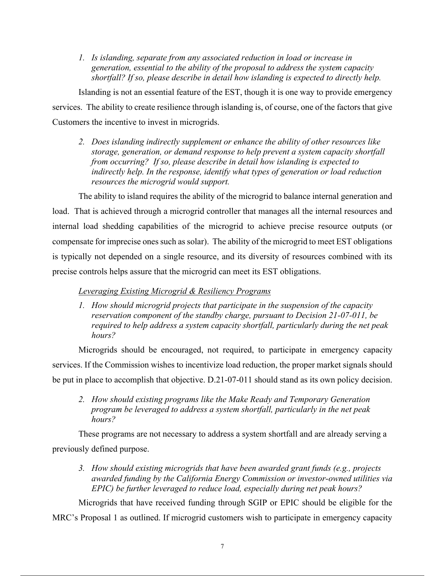*1. Is islanding, separate from any associated reduction in load or increase in generation, essential to the ability of the proposal to address the system capacity shortfall? If so, please describe in detail how islanding is expected to directly help.*

Islanding is not an essential feature of the EST, though it is one way to provide emergency services. The ability to create resilience through islanding is, of course, one of the factors that give Customers the incentive to invest in microgrids.

*2. Does islanding indirectly supplement or enhance the ability of other resources like storage, generation, or demand response to help prevent a system capacity shortfall from occurring? If so, please describe in detail how islanding is expected to indirectly help. In the response, identify what types of generation or load reduction resources the microgrid would support.*

The ability to island requires the ability of the microgrid to balance internal generation and load. That is achieved through a microgrid controller that manages all the internal resources and internal load shedding capabilities of the microgrid to achieve precise resource outputs (or compensate for imprecise ones such as solar). The ability of the microgrid to meet EST obligations is typically not depended on a single resource, and its diversity of resources combined with its precise controls helps assure that the microgrid can meet its EST obligations.

# *Leveraging Existing Microgrid & Resiliency Programs*

*1. How should microgrid projects that participate in the suspension of the capacity reservation component of the standby charge, pursuant to Decision 21-07-011, be required to help address a system capacity shortfall, particularly during the net peak hours?*

Microgrids should be encouraged, not required, to participate in emergency capacity services. If the Commission wishes to incentivize load reduction, the proper market signals should be put in place to accomplish that objective. D.21-07-011 should stand as its own policy decision.

*2. How should existing programs like the Make Ready and Temporary Generation program be leveraged to address a system shortfall, particularly in the net peak hours?*

These programs are not necessary to address a system shortfall and are already serving a previously defined purpose.

*3. How should existing microgrids that have been awarded grant funds (e.g., projects awarded funding by the California Energy Commission or investor-owned utilities via EPIC) be further leveraged to reduce load, especially during net peak hours?*

Microgrids that have received funding through SGIP or EPIC should be eligible for the MRC's Proposal 1 as outlined. If microgrid customers wish to participate in emergency capacity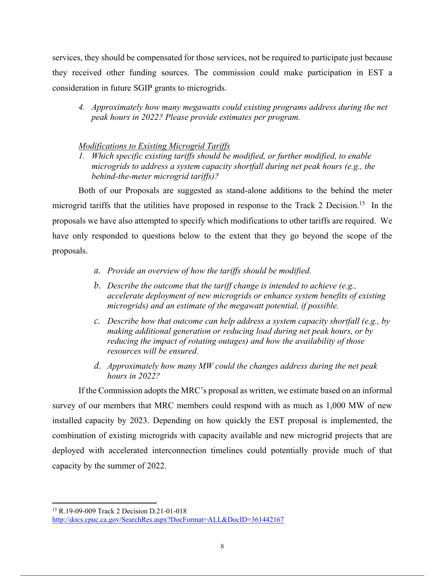services, they should be compensated for those services, not be required to participate just because they received other funding sources. The commission could make participation in EST a consideration in future SGIP grants to microgrids.

*4. Approximately how many megawatts could existing programs address during the net peak hours in 2022? Please provide estimates per program.*

# *Modifications to Existing Microgrid Tariffs*

*1. Which specific existing tariffs should be modified, or further modified, to enable microgrids to address a system capacity shortfall during net peak hours (e.g., the behind-the-meter microgrid tariffs)?*

Both of our Proposals are suggested as stand-alone additions to the behind the meter microgrid tariffs that the utilities have proposed in response to the Track 2 Decision.<sup>15</sup> In the proposals we have also attempted to specify which modifications to other tariffs are required. We have only responded to questions below to the extent that they go beyond the scope of the proposals.

- *a. Provide an overview of how the tariffs should be modified.*
- *b. Describe the outcome that the tariff change is intended to achieve (e.g., accelerate deployment of new microgrids or enhance system benefits of existing microgrids) and an estimate of the megawatt potential, if possible.*
- *c. Describe how that outcome can help address a system capacity shortfall (e.g., by making additional generation or reducing load during net peak hours, or by reducing the impact of rotating outages) and how the availability of those resources will be ensured.*
- *d. Approximately how many MW could the changes address during the net peak hours in 2022?*

If the Commission adopts the MRC's proposal as written, we estimate based on an informal survey of our members that MRC members could respond with as much as 1,000 MW of new installed capacity by 2023. Depending on how quickly the EST proposal is implemented, the combination of existing microgrids with capacity available and new microgrid projects that are deployed with accelerated interconnection timelines could potentially provide much of that capacity by the summer of 2022.

<sup>15</sup> R.19-09-009 Track 2 Decision D.21-01-018 http://docs.cpuc.ca.gov/SearchRes.aspx?DocFormat=ALL&DocID=361442167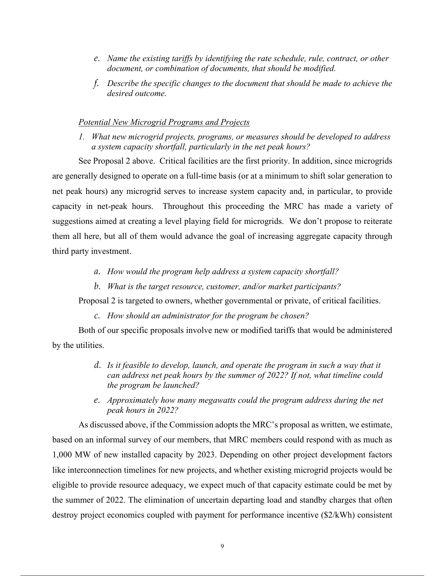- *e. Name the existing tariffs by identifying the rate schedule, rule, contract, or other document, or combination of documents, that should be modified.*
- *f. Describe the specific changes to the document that should be made to achieve the desired outcome.*

#### *Potential New Microgrid Programs and Projects*

*1. What new microgrid projects, programs, or measures should be developed to address a system capacity shortfall, particularly in the net peak hours?*

See Proposal 2 above. Critical facilities are the first priority. In addition, since microgrids are generally designed to operate on a full-time basis (or at a minimum to shift solar generation to net peak hours) any microgrid serves to increase system capacity and, in particular, to provide capacity in net-peak hours. Throughout this proceeding the MRC has made a variety of suggestions aimed at creating a level playing field for microgrids. We don't propose to reiterate them all here, but all of them would advance the goal of increasing aggregate capacity through third party investment.

- *a. How would the program help address a system capacity shortfall?*
- *b. What is the target resource, customer, and/or market participants?*

Proposal 2 is targeted to owners, whether governmental or private, of critical facilities.

*c. How should an administrator for the program be chosen?*

Both of our specific proposals involve new or modified tariffs that would be administered by the utilities.

- *d. Is it feasible to develop, launch, and operate the program in such a way that it can address net peak hours by the summer of 2022? If not, what timeline could the program be launched?*
- *e. Approximately how many megawatts could the program address during the net peak hours in 2022?*

As discussed above, if the Commission adopts the MRC's proposal as written, we estimate, based on an informal survey of our members, that MRC members could respond with as much as 1,000 MW of new installed capacity by 2023. Depending on other project development factors like interconnection timelines for new projects, and whether existing microgrid projects would be eligible to provide resource adequacy, we expect much of that capacity estimate could be met by the summer of 2022. The elimination of uncertain departing load and standby charges that often destroy project economics coupled with payment for performance incentive (\$2/kWh) consistent